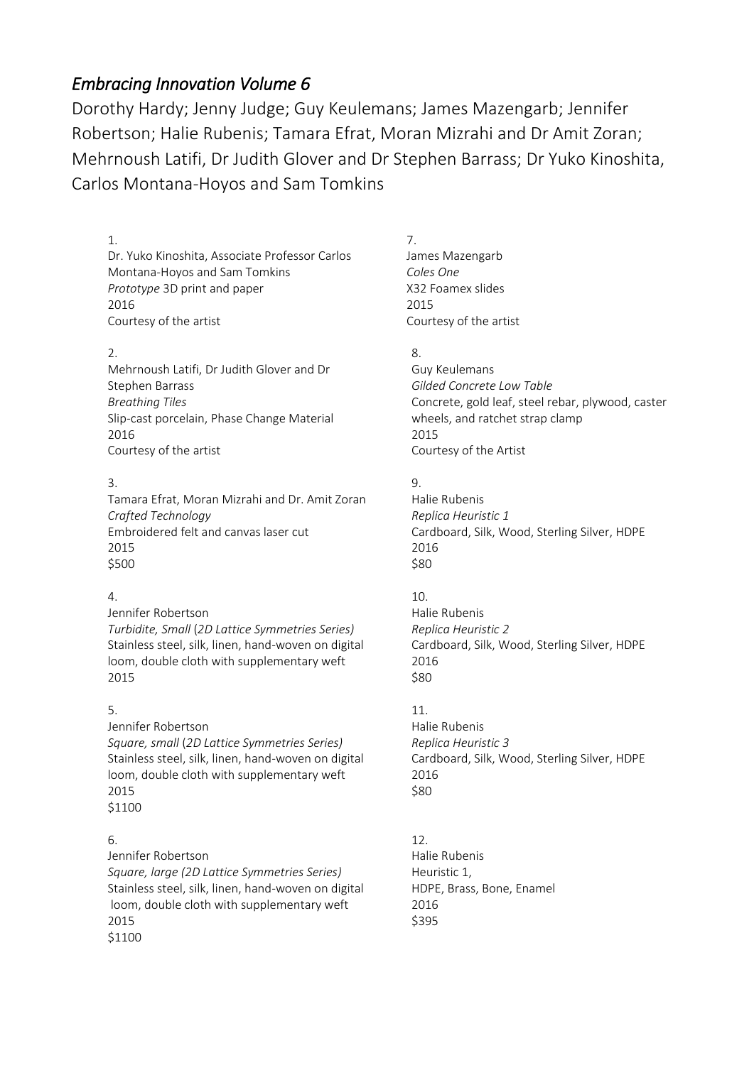# *Embracing Innovation Volume 6*

Dorothy Hardy; Jenny Judge; Guy Keulemans; James Mazengarb; Jennifer Robertson; Halie Rubenis; Tamara Efrat, Moran Mizrahi and Dr Amit Zoran; Mehrnoush Latifi, Dr Judith Glover and Dr Stephen Barrass; Dr Yuko Kinoshita, Carlos Montana-Hoyos and Sam Tomkins

#### 1. Dr. Yuko Kinoshita, Associate Professor Carlos Montana-Hoyos and Sam Tomkins *Prototype* 3D print and paper 2016 Courtesy of the artist

#### 2.

Mehrnoush Latifi, Dr Judith Glover and Dr Stephen Barrass *Breathing Tiles* Slip-cast porcelain, Phase Change Material 2016 Courtesy of the artist

# 3.

Tamara Efrat, Moran Mizrahi and Dr. Amit Zoran *Crafted Technology*  Embroidered felt and canvas laser cut 2015 \$500

# 4.

Jennifer Robertson *Turbidite, Small* (*2D Lattice Symmetries Series)* Stainless steel, silk, linen, hand-woven on digital loom, double cloth with supplementary weft 2015

# 5.

Jennifer Robertson *Square, small* (*2D Lattice Symmetries Series)* Stainless steel, silk, linen, hand-woven on digital loom, double cloth with supplementary weft 2015 \$1100

# 6.

Jennifer Robertson *Square, large (2D Lattice Symmetries Series)* Stainless steel, silk, linen, hand-woven on digital loom, double cloth with supplementary weft 2015 \$1100

7. James Mazengarb *Coles One* X32 Foamex slides 2015 Courtesy of the artist

# 8.

Guy Keulemans *Gilded Concrete Low Table* Concrete, gold leaf, steel rebar, plywood, caster wheels, and ratchet strap clamp 2015 Courtesy of the Artist

#### $\mathsf{Q}$

Halie Rubenis *Replica Heuristic 1* Cardboard, Silk, Wood, Sterling Silver, HDPE 2016 \$80

# 10.

Halie Rubenis *Replica Heuristic 2* Cardboard, Silk, Wood, Sterling Silver, HDPE 2016 \$80

# 11.

Halie Rubenis *Replica Heuristic 3* Cardboard, Silk, Wood, Sterling Silver, HDPE 2016 \$80

#### 12. Halie Rubenis Heuristic 1, HDPE, Brass, Bone, Enamel 2016 \$395